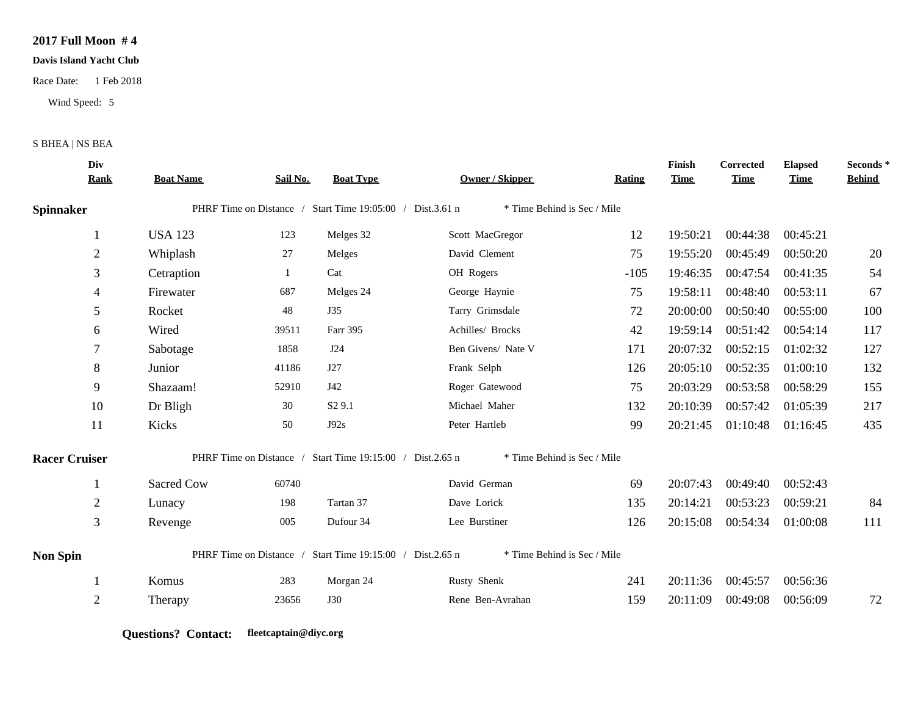## **2017 Full Moon # 4**

## **Davis Island Yacht Club**

Race Date: 1 Feb 2018

Wind Speed: 5

## S BHEA | NS BEA

| <b>Rank</b>          | <b>Boat Name</b> | Sail No. | <b>Boat Type</b>        | Owner / Skipper    | Rating                                                                                                                                                      | <b>Time</b>                                                                               | <b>Time</b> | <b>Elapsed</b><br><b>Time</b> | Seconds*<br><b>Behind</b> |
|----------------------|------------------|----------|-------------------------|--------------------|-------------------------------------------------------------------------------------------------------------------------------------------------------------|-------------------------------------------------------------------------------------------|-------------|-------------------------------|---------------------------|
| <b>Spinnaker</b>     |                  |          |                         |                    |                                                                                                                                                             |                                                                                           |             |                               |                           |
|                      | <b>USA 123</b>   | 123      | Melges 32               | Scott MacGregor    | 12                                                                                                                                                          | 19:50:21                                                                                  | 00:44:38    | 00:45:21                      |                           |
| $\sqrt{2}$           | Whiplash         | 27       | Melges                  | David Clement      | 75                                                                                                                                                          | 19:55:20                                                                                  | 00:45:49    | 00:50:20                      | 20                        |
| 3                    | Cetraption       | 1        | Cat                     | OH Rogers          | $-105$                                                                                                                                                      | 19:46:35                                                                                  | 00:47:54    | 00:41:35                      | 54                        |
| $\overline{4}$       | Firewater        | 687      | Melges 24               | George Haynie      | 75                                                                                                                                                          | 19:58:11                                                                                  | 00:48:40    | 00:53:11                      | 67                        |
| 5                    | Rocket           | 48       | J35                     | Tarry Grimsdale    | 72                                                                                                                                                          | 20:00:00                                                                                  | 00:50:40    | 00:55:00                      | 100                       |
| 6                    | Wired            | 39511    | Farr 395                | Achilles/ Brocks   | 42                                                                                                                                                          | 19:59:14                                                                                  | 00:51:42    | 00:54:14                      | 117                       |
| 7                    | Sabotage         | 1858     | J24                     | Ben Givens/ Nate V | 171                                                                                                                                                         | 20:07:32                                                                                  | 00:52:15    | 01:02:32                      | 127                       |
| 8                    | Junior           | 41186    | J27                     | Frank Selph        | 126                                                                                                                                                         | 20:05:10                                                                                  | 00:52:35    | 01:00:10                      | 132                       |
| 9                    | Shazaam!         | 52910    | J42                     | Roger Gatewood     | 75                                                                                                                                                          | 20:03:29                                                                                  | 00:53:58    | 00:58:29                      | 155                       |
| 10                   | Dr Bligh         | 30       | S <sub>2</sub> 9.1      | Michael Maher      | 132                                                                                                                                                         | 20:10:39                                                                                  | 00:57:42    | 01:05:39                      | 217                       |
| 11                   | Kicks            | 50       | J92s                    | Peter Hartleb      | 99                                                                                                                                                          | 20:21:45                                                                                  | 01:10:48    | 01:16:45                      | 435                       |
| <b>Racer Cruiser</b> |                  |          |                         |                    |                                                                                                                                                             |                                                                                           |             |                               |                           |
| 1                    | Sacred Cow       | 60740    |                         | David German       | 69                                                                                                                                                          | 20:07:43                                                                                  | 00:49:40    | 00:52:43                      |                           |
| $\overline{2}$       | Lunacy           | 198      | Tartan 37               | Dave Lorick        | 135                                                                                                                                                         | 20:14:21                                                                                  | 00:53:23    | 00:59:21                      | 84                        |
| 3                    | Revenge          | 005      | Dufour 34               | Lee Burstiner      | 126                                                                                                                                                         | 20:15:08                                                                                  | 00:54:34    | 01:00:08                      | 111                       |
| <b>Non Spin</b>      |                  |          |                         |                    |                                                                                                                                                             |                                                                                           |             |                               |                           |
|                      | Komus            | 283      | Morgan 24               | Rusty Shenk        | 241                                                                                                                                                         | 20:11:36                                                                                  | 00:45:57    | 00:56:36                      |                           |
| $\overline{2}$       | Therapy          | 23656    | <b>J30</b>              | Rene Ben-Avrahan   | 159                                                                                                                                                         | 20:11:09                                                                                  | 00:49:08    | 00:56:09                      | 72                        |
|                      | Div              |          | PHRF Time on Distance / |                    | PHRF Time on Distance / Start Time 19:05:00 / Dist.3.61 n<br>PHRF Time on Distance / Start Time 19:15:00 / Dist.2.65 n<br>Start Time 19:15:00 / Dist.2.65 n | * Time Behind is Sec / Mile<br>* Time Behind is Sec / Mile<br>* Time Behind is Sec / Mile | Finish      | Corrected                     |                           |

**Questions? Contact: fleetcaptain@diyc.org**